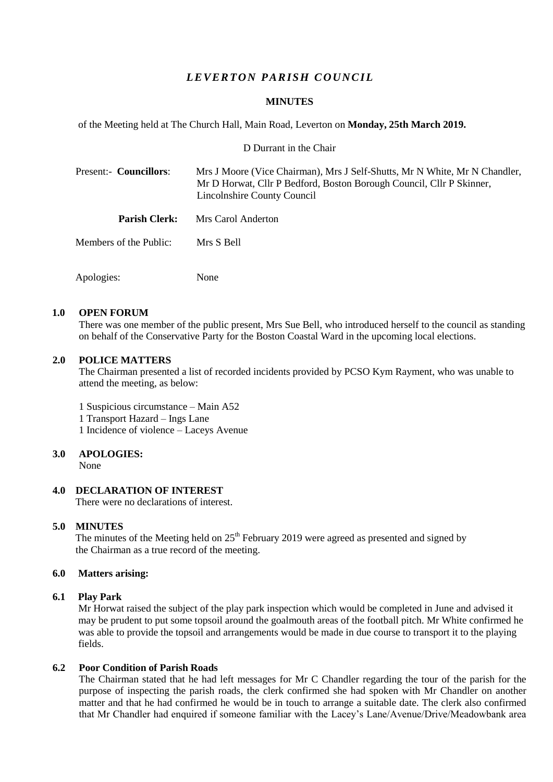# *L E VER T ON PARISH C OU NC IL*

### **MINUTES**

of the Meeting held at The Church Hall, Main Road, Leverton on **Monday, 25th March 2019.**

D Durrant in the Chair

| Present:- Councillors: |                        | Mrs J Moore (Vice Chairman), Mrs J Self-Shutts, Mr N White, Mr N Chandler,<br>Mr D Horwat, Cllr P Bedford, Boston Borough Council, Cllr P Skinner,<br>Lincolnshire County Council |  |  |
|------------------------|------------------------|-----------------------------------------------------------------------------------------------------------------------------------------------------------------------------------|--|--|
|                        | <b>Parish Clerk:</b>   | Mrs Carol Anderton                                                                                                                                                                |  |  |
|                        | Members of the Public: | Mrs S Bell                                                                                                                                                                        |  |  |
|                        | Apologies:             | None                                                                                                                                                                              |  |  |

### **1.0 OPEN FORUM**

There was one member of the public present, Mrs Sue Bell, who introduced herself to the council as standing on behalf of the Conservative Party for the Boston Coastal Ward in the upcoming local elections.

### **2.0 POLICE MATTERS**

The Chairman presented a list of recorded incidents provided by PCSO Kym Rayment, who was unable to attend the meeting, as below:

1 Suspicious circumstance – Main A52

1 Transport Hazard – Ings Lane

1 Incidence of violence – Laceys Avenue

## **3.0 APOLOGIES:**

None

## **4.0 DECLARATION OF INTEREST**

There were no declarations of interest.

### **5.0 MINUTES**

The minutes of the Meeting held on  $25<sup>th</sup>$  February 2019 were agreed as presented and signed by the Chairman as a true record of the meeting.

## **6.0 Matters arising:**

## **6.1 Play Park**

Mr Horwat raised the subject of the play park inspection which would be completed in June and advised it may be prudent to put some topsoil around the goalmouth areas of the football pitch. Mr White confirmed he was able to provide the topsoil and arrangements would be made in due course to transport it to the playing fields.

## **6.2 Poor Condition of Parish Roads**

The Chairman stated that he had left messages for Mr C Chandler regarding the tour of the parish for the purpose of inspecting the parish roads, the clerk confirmed she had spoken with Mr Chandler on another matter and that he had confirmed he would be in touch to arrange a suitable date. The clerk also confirmed that Mr Chandler had enquired if someone familiar with the Lacey's Lane/Avenue/Drive/Meadowbank area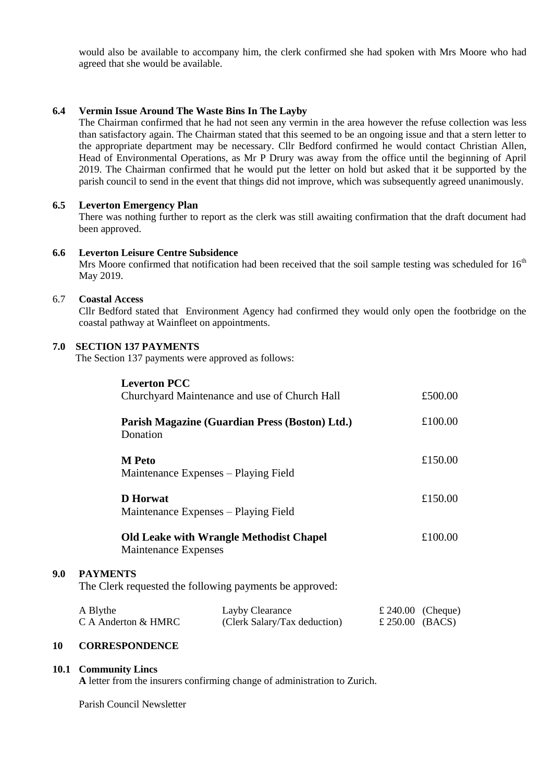would also be available to accompany him, the clerk confirmed she had spoken with Mrs Moore who had agreed that she would be available.

## **6.4 Vermin Issue Around The Waste Bins In The Layby**

The Chairman confirmed that he had not seen any vermin in the area however the refuse collection was less than satisfactory again. The Chairman stated that this seemed to be an ongoing issue and that a stern letter to the appropriate department may be necessary. Cllr Bedford confirmed he would contact Christian Allen, Head of Environmental Operations, as Mr P Drury was away from the office until the beginning of April 2019. The Chairman confirmed that he would put the letter on hold but asked that it be supported by the parish council to send in the event that things did not improve, which was subsequently agreed unanimously.

## **6.5 Leverton Emergency Plan**

There was nothing further to report as the clerk was still awaiting confirmation that the draft document had been approved.

### **6.6 Leverton Leisure Centre Subsidence**

Mrs Moore confirmed that notification had been received that the soil sample testing was scheduled for 16<sup>th</sup> May 2019.

### 6.7 **Coastal Access**

Cllr Bedford stated that Environment Agency had confirmed they would only open the footbridge on the coastal pathway at Wainfleet on appointments.

### **7.0 SECTION 137 PAYMENTS**

The Section 137 payments were approved as follows:

|     |                                                         | <b>Leverton PCC</b>                                                           |  |                   |  |  |
|-----|---------------------------------------------------------|-------------------------------------------------------------------------------|--|-------------------|--|--|
|     |                                                         | Churchyard Maintenance and use of Church Hall                                 |  | £500.00           |  |  |
|     |                                                         | Parish Magazine (Guardian Press (Boston) Ltd.)                                |  | £100.00           |  |  |
|     |                                                         | Donation                                                                      |  |                   |  |  |
|     |                                                         | <b>M</b> Peto                                                                 |  | £150.00           |  |  |
|     |                                                         | Maintenance Expenses – Playing Field                                          |  |                   |  |  |
|     |                                                         | <b>D</b> Horwat                                                               |  | £150.00           |  |  |
|     |                                                         | Maintenance Expenses – Playing Field                                          |  |                   |  |  |
|     |                                                         | <b>Old Leake with Wrangle Methodist Chapel</b><br><b>Maintenance Expenses</b> |  | £100.00           |  |  |
| 9.0 | <b>PAYMENTS</b>                                         |                                                                               |  |                   |  |  |
|     | The Clerk requested the following payments be approved: |                                                                               |  |                   |  |  |
|     | A Blythe                                                | Layby Clearance                                                               |  | £ 240.00 (Cheque) |  |  |

C A Anderton & HMRC (Clerk Salary/Tax deduction)  $\pounds$  250.00 (BACS)

## **10 CORRESPONDENCE**

### **10.1 Community Lincs**

**A** letter from the insurers confirming change of administration to Zurich.

Parish Council Newsletter